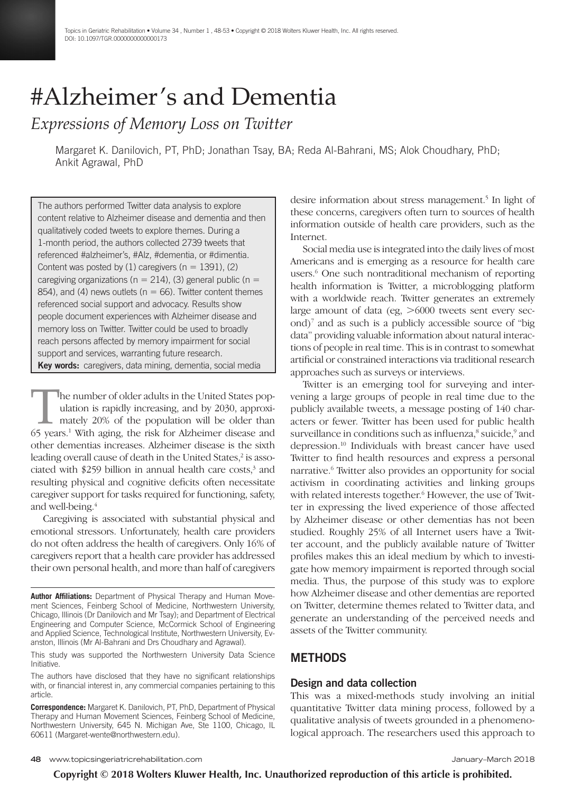# #Alzheimer's and Dementia

 *Expressions of Memory Loss on Twitter* 

Margaret K. Danilovich, PT, PhD; Jonathan Tsay, BA; Reda Al-Bahrani, MS; Alok Choudhary, PhD; Ankit Agrawal, PhD

The authors performed Twitter data analysis to explore content relative to Alzheimer disease and dementia and then qualitatively coded tweets to explore themes. During a 1-month period, the authors collected 2739 tweets that referenced #alzheimer's, #Alz, #dementia, or #dimentia. Content was posted by (1) caregivers ( $n = 1391$ ), (2) caregiving organizations ( $n = 214$ ), (3) general public ( $n =$ 854), and (4) news outlets ( $n = 66$ ). Twitter content themes referenced social support and advocacy. Results show people document experiences with Alzheimer disease and memory loss on Twitter. Twitter could be used to broadly reach persons affected by memory impairment for social support and services, warranting future research. Key words: caregivers, data mining, dementia, social media

The number of older adults in the United States pop-<br>ulation is rapidly increasing, and by 2030, approxi-<br>mately 20% of the population will be older than<br>65 years.<sup>1</sup> With aging, the risk for Alzheimer disease and ulation is rapidly increasing, and by 2030, approximately 20% of the population will be older than 65 years.<sup>1</sup> With aging, the risk for Alzheimer disease and other dementias increases. Alzheimer disease is the sixth leading overall cause of death in the United States,<sup>2</sup> is associated with \$259 billion in annual health care costs, $3$  and resulting physical and cognitive deficits often necessitate caregiver support for tasks required for functioning, safety, and well-being. 4

Caregiving is associated with substantial physical and emotional stressors. Unfortunately, health care providers do not often address the health of caregivers. Only 16% of caregivers report that a health care provider has addressed their own personal health, and more than half of caregivers

desire information about stress management.<sup>5</sup> In light of these concerns, caregivers often turn to sources of health information outside of health care providers, such as the Internet.

Social media use is integrated into the daily lives of most Americans and is emerging as a resource for health care users.<sup>6</sup> One such nontraditional mechanism of reporting health information is Twitter, a microblogging platform with a worldwide reach. Twitter generates an extremely large amount of data (eg, >6000 tweets sent every second)<sup>7</sup> and as such is a publicly accessible source of "big data" providing valuable information about natural interactions of people in real time. This is in contrast to somewhat artificial or constrained interactions via traditional research approaches such as surveys or interviews.

Twitter is an emerging tool for surveying and intervening a large groups of people in real time due to the publicly available tweets, a message posting of 140 characters or fewer. Twitter has been used for public health surveillance in conditions such as influenza,<sup>8</sup> suicide,<sup>9</sup> and depression.<sup>10</sup> Individuals with breast cancer have used Twitter to find health resources and express a personal narrative.<sup>6</sup> Twitter also provides an opportunity for social activism in coordinating activities and linking groups with related interests together.<sup>6</sup> However, the use of Twitter in expressing the lived experience of those affected by Alzheimer disease or other dementias has not been studied. Roughly 25% of all Internet users have a Twitter account, and the publicly available nature of Twitter profiles makes this an ideal medium by which to investigate how memory impairment is reported through social media. Thus, the purpose of this study was to explore how Alzheimer disease and other dementias are reported on Twitter, determine themes related to Twitter data, and generate an understanding of the perceived needs and assets of the Twitter community.

# **METHODS**

# **Design and data collection**

This was a mixed-methods study involving an initial quantitative Twitter data mining process, followed by a qualitative analysis of tweets grounded in a phenomenological approach. The researchers used this approach to

Author Affiliations: Department of Physical Therapy and Human Movement Sciences, Feinberg School of Medicine, Northwestern University, Chicago, Illinois (Dr Danilovich and Mr Tsay); and Department of Electrical Engineering and Computer Science, McCormick School of Engineering and Applied Science, Technological Institute, Northwestern University, Evanston, Illinois (Mr Al-Bahrani and Drs Choudhary and Agrawal) .

This study was supported the Northwestern University Data Science Initiative.

The authors have disclosed that they have no significant relationships with, or financial interest in, any commercial companies pertaining to this article.

**Correspondence:** Margaret K. Danilovich, PT, PhD, Department of Physical Therapy and Human Movement Sciences, Feinberg School of Medicine, Northwestern University, 645 N. Michigan Ave, Ste 1100, Chicago, IL 60611 (Margaret-wente@northwestern.edu).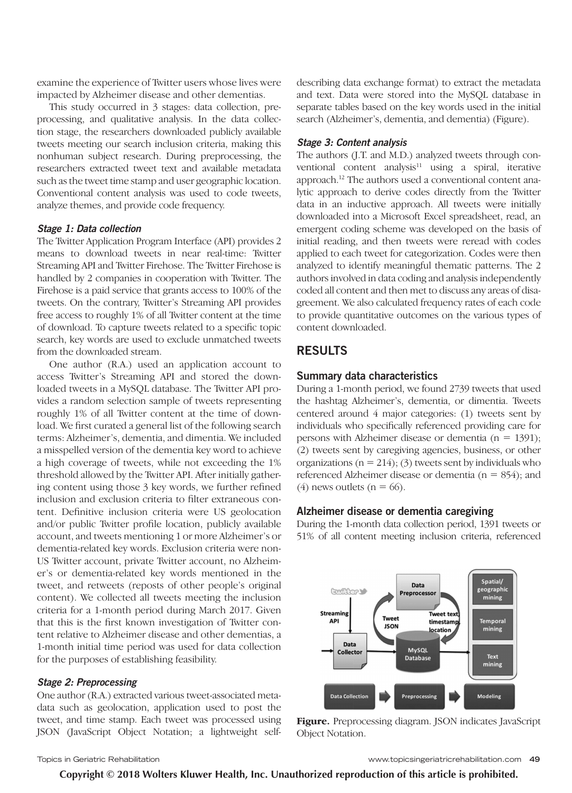examine the experience of Twitter users whose lives were impacted by Alzheimer disease and other dementias.

This study occurred in 3 stages: data collection, preprocessing, and qualitative analysis. In the data collection stage, the researchers downloaded publicly available tweets meeting our search inclusion criteria, making this nonhuman subject research. During preprocessing, the researchers extracted tweet text and available metadata such as the tweet time stamp and user geographic location. Conventional content analysis was used to code tweets, analyze themes, and provide code frequency.

#### *Stage 1: Data collection*

The Twitter Application Program Interface (API) provides 2 means to download tweets in near real-time: Twitter Streaming API and Twitter Firehose. The Twitter Firehose is handled by 2 companies in cooperation with Twitter. The Firehose is a paid service that grants access to 100% of the tweets. On the contrary, Twitter's Streaming API provides free access to roughly 1% of all Twitter content at the time of download. To capture tweets related to a specific topic search, key words are used to exclude unmatched tweets from the downloaded stream.

One author (R.A.) used an application account to access Twitter's Streaming API and stored the downloaded tweets in a MySQL database. The Twitter API provides a random selection sample of tweets representing roughly 1% of all Twitter content at the time of download. We first curated a general list of the following search terms: Alzheimer's, dementia, and dimentia. We included a misspelled version of the dementia key word to achieve a high coverage of tweets, while not exceeding the 1% threshold allowed by the Twitter API. After initially gathering content using those 3 key words, we further refined inclusion and exclusion criteria to filter extraneous content. Definitive inclusion criteria were US geolocation and/or public Twitter profile location, publicly available account, and tweets mentioning 1 or more Alzheimer's or dementia-related key words. Exclusion criteria were non-US Twitter account, private Twitter account, no Alzheimer's or dementia-related key words mentioned in the tweet, and retweets (reposts of other people's original content). We collected all tweets meeting the inclusion criteria for a 1-month period during March 2017. Given that this is the first known investigation of Twitter content relative to Alzheimer disease and other dementias, a 1-month initial time period was used for data collection for the purposes of establishing feasibility.

### *Stage 2: Preprocessing*

One author (R.A.) extracted various tweet-associated metadata such as geolocation, application used to post the tweet, and time stamp. Each tweet was processed using JSON (JavaScript Object Notation; a lightweight self-

describing data exchange format) to extract the metadata and text. Data were stored into the MySQL database in separate tables based on the key words used in the initial search (Alzheimer's, dementia, and dementia) (Figure).

#### *Stage 3: Content analysis*

The authors (J.T. and M.D.) analyzed tweets through conventional content analysis $11$  using a spiral, iterative approach. 12 The authors used a conventional content analytic approach to derive codes directly from the Twitter data in an inductive approach. All tweets were initially downloaded into a Microsoft Excel spreadsheet, read, an emergent coding scheme was developed on the basis of initial reading, and then tweets were reread with codes applied to each tweet for categorization. Codes were then analyzed to identify meaningful thematic patterns. The 2 authors involved in data coding and analysis independently coded all content and then met to discuss any areas of disagreement. We also calculated frequency rates of each code to provide quantitative outcomes on the various types of content downloaded.

## **RESULTS**

## **Summary data characteristics**

During a 1-month period, we found 2739 tweets that used the hashtag Alzheimer's, dementia, or dimentia. Tweets centered around 4 major categories: (1) tweets sent by individuals who specifically referenced providing care for persons with Alzheimer disease or dementia ( $n = 1391$ ); (2) tweets sent by caregiving agencies, business, or other organizations ( $n = 214$ ); (3) tweets sent by individuals who referenced Alzheimer disease or dementia (n = 854); and  $(4)$  news outlets  $(n = 66)$ .

### **Alzheimer disease or dementia caregiving**

During the 1-month data collection period, 1391 tweets or 51% of all content meeting inclusion criteria, referenced



Figure. Preprocessing diagram. JSON indicates JavaScript Object Notation.

**Copyright © 2018 Wolters Kluwer Health, Inc. Unauthorized reproduction of this article is prohibited.**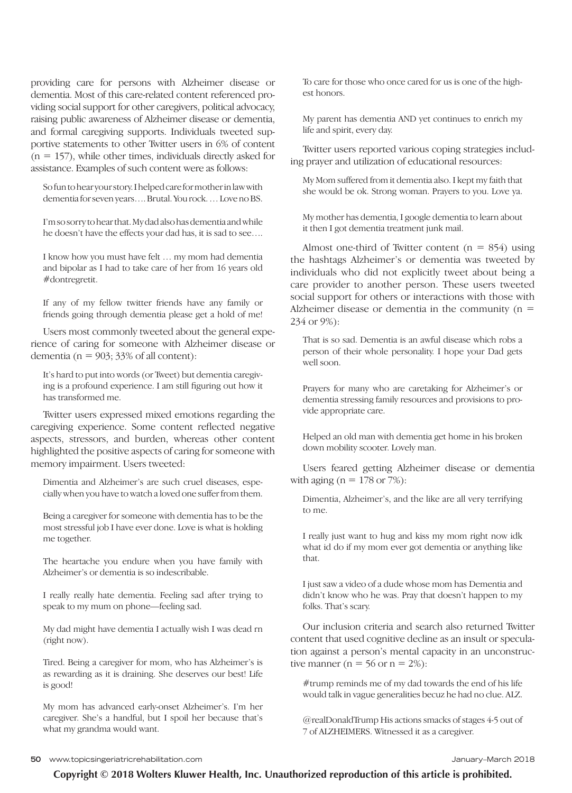providing care for persons with Alzheimer disease or dementia. Most of this care-related content referenced providing social support for other caregivers, political advocacy, raising public awareness of Alzheimer disease or dementia, and formal caregiving supports. Individuals tweeted supportive statements to other Twitter users in 6% of content  $(n = 157)$ , while other times, individuals directly asked for assistance. Examples of such content were as follows:

So fun to hear your story. I helped care for mother in law with dementia for seven years…. Brutal. You rock. … Love no BS.

I'm so sorry to hear that. My dad also has dementia and while he doesn't have the effects your dad has, it is sad to see….

I know how you must have felt … my mom had dementia and bipolar as I had to take care of her from 16 years old #dontregretit.

If any of my fellow twitter friends have any family or friends going through dementia please get a hold of me!

Users most commonly tweeted about the general experience of caring for someone with Alzheimer disease or dementia ( $n = 903$ ; 33% of all content):

It's hard to put into words (or Tweet) but dementia caregiving is a profound experience. I am still figuring out how it has transformed me.

Twitter users expressed mixed emotions regarding the caregiving experience. Some content reflected negative aspects, stressors, and burden, whereas other content highlighted the positive aspects of caring for someone with memory impairment. Users tweeted:

Dimentia and Alzheimer's are such cruel diseases, especially when you have to watch a loved one suffer from them.

Being a caregiver for someone with dementia has to be the most stressful job I have ever done. Love is what is holding me together.

The heartache you endure when you have family with Alzheimer's or dementia is so indescribable.

I really really hate dementia. Feeling sad after trying to speak to my mum on phone—feeling sad.

My dad might have dementia I actually wish I was dead rn (right now).

Tired. Being a caregiver for mom, who has Alzheimer's is as rewarding as it is draining. She deserves our best! Life is good!

My mom has advanced early-onset Alzheimer's. I'm her caregiver. She's a handful, but I spoil her because that's what my grandma would want.

To care for those who once cared for us is one of the highest honors.

My parent has dementia AND yet continues to enrich my life and spirit, every day.

Twitter users reported various coping strategies including prayer and utilization of educational resources:

My Mom suffered from it dementia also. I kept my faith that she would be ok. Strong woman. Prayers to you. Love ya.

My mother has dementia, I google dementia to learn about it then I got dementia treatment junk mail.

Almost one-third of Twitter content  $(n = 854)$  using the hashtags Alzheimer's or dementia was tweeted by individuals who did not explicitly tweet about being a care provider to another person. These users tweeted social support for others or interactions with those with Alzheimer disease or dementia in the community  $(n =$ 234 or 9%):

That is so sad. Dementia is an awful disease which robs a person of their whole personality. I hope your Dad gets well soon.

Prayers for many who are caretaking for Alzheimer's or dementia stressing family resources and provisions to provide appropriate care.

Helped an old man with dementia get home in his broken down mobility scooter. Lovely man.

Users feared getting Alzheimer disease or dementia with aging ( $n = 178$  or 7%):

Dimentia, Alzheimer's, and the like are all very terrifying to me.

I really just want to hug and kiss my mom right now idk what id do if my mom ever got dementia or anything like that.

I just saw a video of a dude whose mom has Dementia and didn't know who he was. Pray that doesn't happen to my folks. That's scary.

Our inclusion criteria and search also returned Twitter content that used cognitive decline as an insult or speculation against a person's mental capacity in an unconstructive manner ( $n = 56$  or  $n = 2\%)$ :

#trump reminds me of my dad towards the end of his life would talk in vague generalities becuz he had no clue. ALZ.

@realDonaldTrump His actions smacks of stages 4-5 out of 7 of ALZHEIMERS. Witnessed it as a caregiver.

**Copyright © 2018 Wolters Kluwer Health, Inc. Unauthorized reproduction of this article is prohibited.**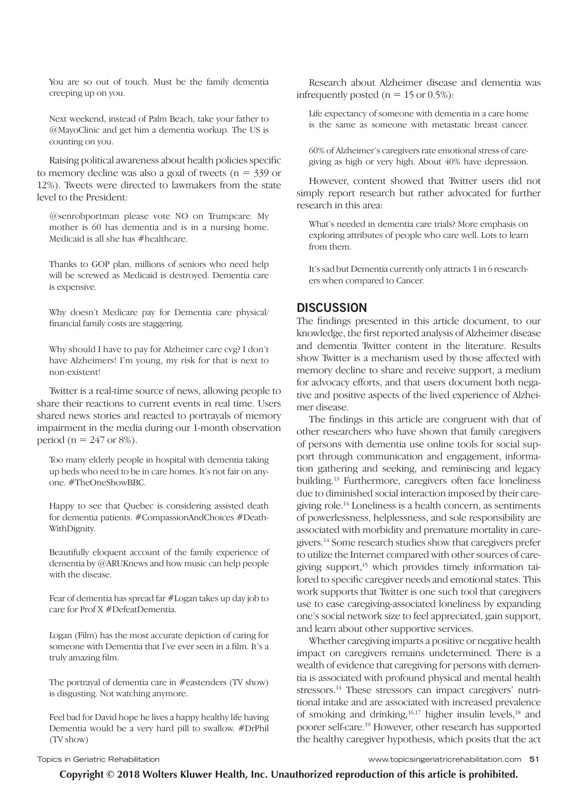You are so out of touch. Must be the family dementia creeping up on you.

Next weekend, instead of Palm Beach, take your father to @MayoClinic and get him a dementia workup. The US is counting on you.

Raising political awareness about health policies specific to memory decline was also a goal of tweets ( $n = 339$  or 12%). Tweets were directed to lawmakers from the state level to the President:

@senrobportman please vote NO on Trumpcare. My mother is 60 has dementia and is in a nursing home. Medicaid is all she has #healthcare.

Thanks to GOP plan, millions of seniors who need help will be screwed as Medicaid is destroyed. Dementia care is expensive.

Why doesn't Medicare pay for Dementia care physical/ financial family costs are staggering.

Why should I have to pay for Alzheimer care cvg? I don't have Alzheimers! I'm young, my risk for that is next to non-existent!

Twitter is a real-time source of news, allowing people to share their reactions to current events in real time. Users shared news stories and reacted to portrayals of memory impairment in the media during our 1-month observation period ( $n = 247$  or 8%).

Too many elderly people in hospital with dementia taking up beds who need to be in care homes. It's not fair on anyone. #TheOneShowBBC.

Happy to see that Quebec is considering assisted death for dementia patients. #CompassionAndChoices #Death-WithDignity.

Beautifully eloquent account of the family experience of dementia by @ARUKnews and how music can help people with the disease.

Fear of dementia has spread far #Logan takes up day job to care for Prof X #DefeatDementia.

Logan (Film) has the most accurate depiction of caring for someone with Dementia that I've ever seen in a film. It's a truly amazing film.

The portrayal of dementia care in #eastenders (TV show) is disgusting. Not watching anymore.

Feel bad for David hope he lives a happy healthy life having Dementia would be a very hard pill to swallow. #DrPhil (TV show)

Research about Alzheimer disease and dementia was infrequently posted ( $n = 15$  or 0.5%):

Life expectancy of someone with dementia in a care home is the same as someone with metastatic breast cancer.

60% of Alzheimer's caregivers rate emotional stress of caregiving as high or very high. About 40% have depression.

However, content showed that Twitter users did not simply report research but rather advocated for further research in this area:

What's needed in dementia care trials? More emphasis on exploring attributes of people who care well. Lots to learn from them.

It's sad but Dementia currently only attracts 1 in 6 researchers when compared to Cancer.

## **DISCUSSION**

The findings presented in this article document, to our knowledge, the first reported analysis of Alzheimer disease and dementia Twitter content in the literature. Results show Twitter is a mechanism used by those affected with memory decline to share and receive support, a medium for advocacy efforts, and that users document both negative and positive aspects of the lived experience of Alzheimer disease.

The findings in this article are congruent with that of other researchers who have shown that family caregivers of persons with dementia use online tools for social support through communication and engagement, information gathering and seeking, and reminiscing and legacy building.<sup>13</sup> Furthermore, caregivers often face loneliness due to diminished social interaction imposed by their caregiving role. 14 Loneliness is a health concern, as sentiments of powerlessness, helplessness, and sole responsibility are associated with morbidity and premature mortality in caregivers. 14 Some research studies show that caregivers prefer to utilize the Internet compared with other sources of caregiving support,<sup>15</sup> which provides timely information tailored to specific caregiver needs and emotional states. This work supports that Twitter is one such tool that caregivers use to ease caregiving-associated loneliness by expanding one's social network size to feel appreciated, gain support, and learn about other supportive services.

Whether caregiving imparts a positive or negative health impact on caregivers remains undetermined. There is a wealth of evidence that caregiving for persons with dementia is associated with profound physical and mental health stressors.<sup>14</sup> These stressors can impact caregivers' nutritional intake and are associated with increased prevalence of smoking and drinking, 16,17 higher insulin levels, 18 and poorer self-care. 19 However, other research has supported the healthy caregiver hypothesis, which posits that the act

**Copyright © 2018 Wolters Kluwer Health, Inc. Unauthorized reproduction of this article is prohibited.**

Topics in Geriatric Rehabilitation www.topicsingeriatricrehabilitation.com **51**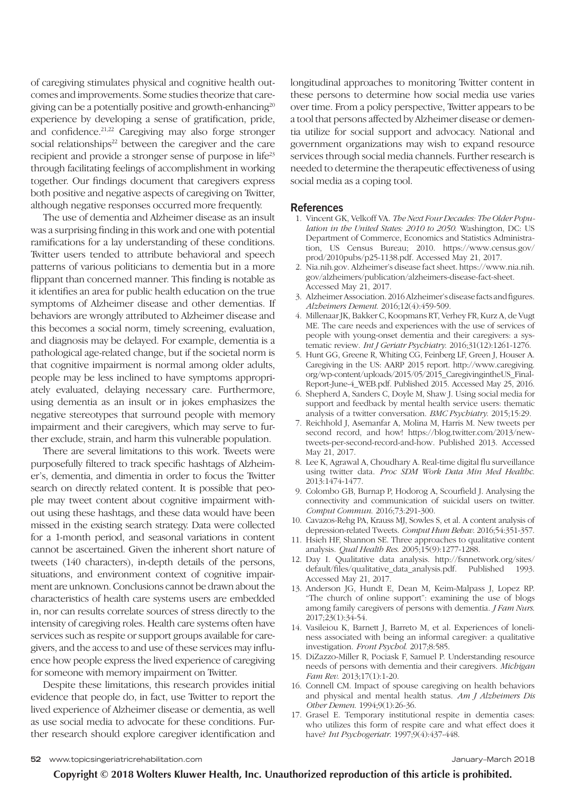of caregiving stimulates physical and cognitive health outcomes and improvements. Some studies theorize that caregiving can be a potentially positive and growth-enhancing<sup>20</sup> experience by developing a sense of gratification, pride, and confidence.<sup>21,22</sup> Caregiving may also forge stronger social relationships<sup>22</sup> between the caregiver and the care recipient and provide a stronger sense of purpose in life<sup>23</sup> through facilitating feelings of accomplishment in working together. Our findings document that caregivers express both positive and negative aspects of caregiving on Twitter, although negative responses occurred more frequently.

The use of dementia and Alzheimer disease as an insult was a surprising finding in this work and one with potential ramifications for a lay understanding of these conditions. Twitter users tended to attribute behavioral and speech patterns of various politicians to dementia but in a more flippant than concerned manner. This finding is notable as it identifies an area for public health education on the true symptoms of Alzheimer disease and other dementias. If behaviors are wrongly attributed to Alzheimer disease and this becomes a social norm, timely screening, evaluation, and diagnosis may be delayed. For example, dementia is a pathological age-related change, but if the societal norm is that cognitive impairment is normal among older adults, people may be less inclined to have symptoms appropriately evaluated, delaying necessary care. Furthermore, using dementia as an insult or in jokes emphasizes the negative stereotypes that surround people with memory impairment and their caregivers, which may serve to further exclude, strain, and harm this vulnerable population.

There are several limitations to this work. Tweets were purposefully filtered to track specific hashtags of Alzheimer's, dementia, and dimentia in order to focus the Twitter search on directly related content. It is possible that people may tweet content about cognitive impairment without using these hashtags, and these data would have been missed in the existing search strategy. Data were collected for a 1-month period, and seasonal variations in content cannot be ascertained. Given the inherent short nature of tweets (140 characters), in-depth details of the persons, situations, and environment context of cognitive impairment are unknown. Conclusions cannot be drawn about the characteristics of health care systems users are embedded in, nor can results correlate sources of stress directly to the intensity of caregiving roles. Health care systems often have services such as respite or support groups available for caregivers, and the access to and use of these services may influence how people express the lived experience of caregiving for someone with memory impairment on Twitter.

Despite these limitations, this research provides initial evidence that people do, in fact, use Twitter to report the lived experience of Alzheimer disease or dementia, as well as use social media to advocate for these conditions. Further research should explore caregiver identification and longitudinal approaches to monitoring Twitter content in these persons to determine how social media use varies over time. From a policy perspective, Twitter appears to be a tool that persons affected by Alzheimer disease or dementia utilize for social support and advocacy. National and government organizations may wish to expand resource services through social media channels. Further research is needed to determine the therapeutic effectiveness of using social media as a coping tool.

#### **References**

- 1. Vincent GK , Velkoff VA . *The Next Four Decades: The Older Population in the United States: 2010 to 2050*. Washington, DC: US Department of Commerce, Economics and Statistics Administration, US Census Bureau; 2010. https://www.census.gov/ prod/2010pubs/p25-1138.pdf. Accessed May 21, 2017.
- 2. [Nia.nih.gov . Alzheimer's disease fact sheet . https://www.nia.nih.](https://www.nia.nih.gov/alzheimers/publication/alzheimers-disease-fact-sheet) gov/alzheimers/publication/alzheimers-disease-fact-sheet . Accessed May 21, 2017.
- 3. Alzheimer Association. 2016 Alzheimer's disease facts and figures. *Alzheimers Dement*. 2016 ; 12 ( 4 ): 459-509 .
- 4. Millenaar JK, Bakker C, Koopmans RT, Verhey FR, Kurz A, de Vugt ME . The care needs and experiences with the use of services of people with young-onset dementia and their caregivers: a systematic review. *Int J Geriatr Psychiatry*. 2016;31(12):1261-1276.
- 5. Hunt GG, Greene R, Whiting CG, Feinberg LF, Green J, Houser A. Caregiving in the US: AARP 2015 report . http://www.caregiving. org/wp-content/uploads/2015/05/2015\_CaregivingintheUS\_Final-Report-June-4\_WEB.pdf. Published 2015. Accessed May 25, 2016.
- 6. Shepherd A, Sanders C, Doyle M, Shaw J. Using social media for support and feedback by mental health service users: thematic analysis of a twitter conversation. *BMC Psychiatry*. 2015;15:29.
- 7. Reichhold J, Asemanfar A, Molina M, Harris M. New tweets per [second record, and how! https://blog.twitter.com/2013/new](https://blog.twitter.com/2013/newtweets-per-second-record-and-how)tweets-per-second-record-and-how . Published 2013 . Accessed May 21, 2017.
- 8. Lee K, Agrawal A, Choudhary A. Real-time digital flu surveillance using twitter data . *Proc SDM Work Data Min Med Healthc*. 2013 :1474-1477.
- 9. Colombo GB, Burnap P, Hodorog A, Scourfield J. Analysing the connectivity and communication of suicidal users on twitter. Comput Commun. 2016;73:291-300.
- 10. Cavazos-Rehg PA, Krauss MJ, Sowles S, et al. A content analysis of depression-related Tweets. *Comput Hum Behav*. 2016;54:351-357.
- 11. Hsieh HF, Shannon SE. Three approaches to qualitative content analysis. *Qual Health Res.* 2005;15(9):1277-1288.
- 12. [Day I . Qualitative data analysis . http://fsnnetwork.org/sites/](http://fsnnetwork.org/sites/default/fi les/qualitative_data_analysis.pdf) default/files/qualitative\_data\_analysis.pdf. Published 1993. Accessed May 21, 2017.
- 13. Anderson JG, Hundt E, Dean M, Keim-Malpass J, Lopez RP. " The church of online support": examining the use of blogs among family caregivers of persons with dementia . *J Fam Nurs*. 2017;23(1):34-54.
- 14. Vasileiou K, Barnett J, Barreto M, et al. Experiences of loneliness associated with being an informal caregiver: a qualitative investigation. **Front Psychol.** 2017;8:585.
- 15. DiZazzo-Miller R, Pociask F, Samuel P. Understanding resource needs of persons with dementia and their caregivers . *Michigan Fam Rev.* 2013;17(1):1-20.
- 16. Connell CM . Impact of spouse caregiving on health behaviors and physical and mental health status . *Am J Alzheimers Dis*  Other Demen. 1994;9(1):26-36.
- 17. Grasel E. Temporary institutional respite in dementia cases: who utilizes this form of respite care and what effect does it have? *Int Psychogeriatr.* 1997;9(4):437-448.

**52** www.topicsingeriatricrehabilitation.com January–March 2018